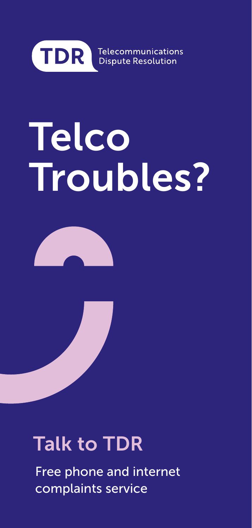

Telecommunications **Dispute Resolution** 

# **Telco** Troubles?



### Talk to TDR

Free phone and internet complaints service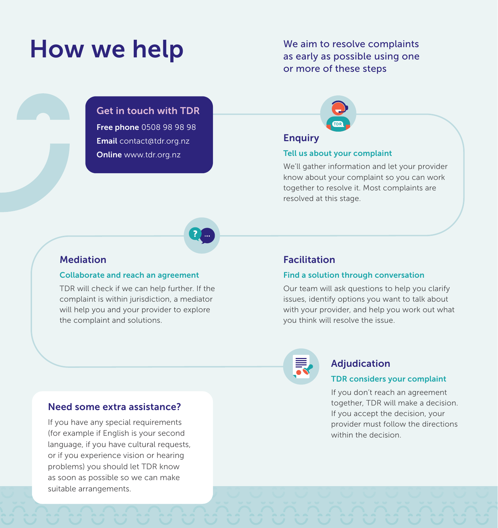### How we help

We aim to resolve complaints as early as possible using one or more of these steps



#### **Enquiry**

#### Tell us about your complaint

We'll gather information and let your provider know about your complaint so you can work together to resolve it. Most complaints are resolved at this stage.

#### Mediation

#### Collaborate and reach an agreement

TDR will check if we can help further. If the complaint is within jurisdiction, a mediator will help you and your provider to explore the complaint and solutions.

Get in touch with TDR Free phone 0508 98 98 98 Email contact@tdr.org.nz Online www.tdr.org.nz

#### Facilitation

#### Find a solution through conversation

Our team will ask questions to help you clarify issues, identify options you want to talk about with your provider, and help you work out what you think will resolve the issue.



#### Adjudication

#### TDR considers your complaint

If you don't reach an agreement together, TDR will make a decision. If you accept the decision, your provider must follow the directions within the decision

#### Need some extra assistance?

If you have any special requirements (for example if English is your second language, if you have cultural requests, or if you experience vision or hearing problems) you should let TDR know as soon as possible so we can make suitable arrangements.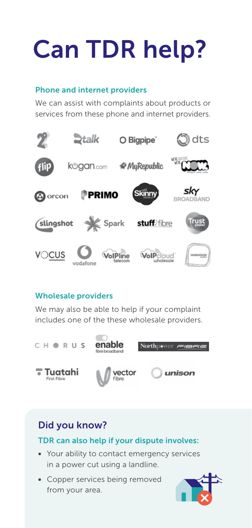## Can TDR help?

#### Phone and internet providers

We can assist with complaints about products or services from these phone and internet providers.



#### Wholesale providers

We may also be able to help if your complaint includes one of the these wholesale providers.



#### Did you know?

#### TDR can also help if your dispute involves:

- Your ability to contact emergency services in a power cut using a landline.
- Copper services being removed from your area.

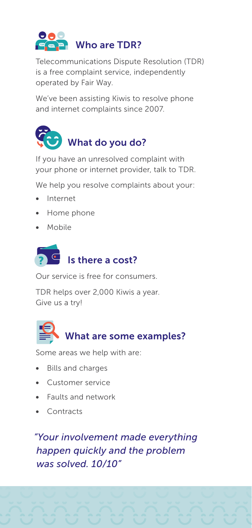

Telecommunications Dispute Resolution (TDR) is a free complaint service, independently operated by Fair Way.

We've been assisting Kiwis to resolve phone and internet complaints since 2007.



If you have an unresolved complaint with your phone or internet provider, talk to TDR.

We help you resolve complaints about your:

- Internet
- Home phone
- Mobile



Our service is free for consumers.

TDR helps over 2,000 Kiwis a year. Give us a try!



Some areas we help with are:

- Bills and charges
- Customer service
- Faults and network
- Contracts

*"Your involvement made everything happen quickly and the problem was solved. 10/10"*